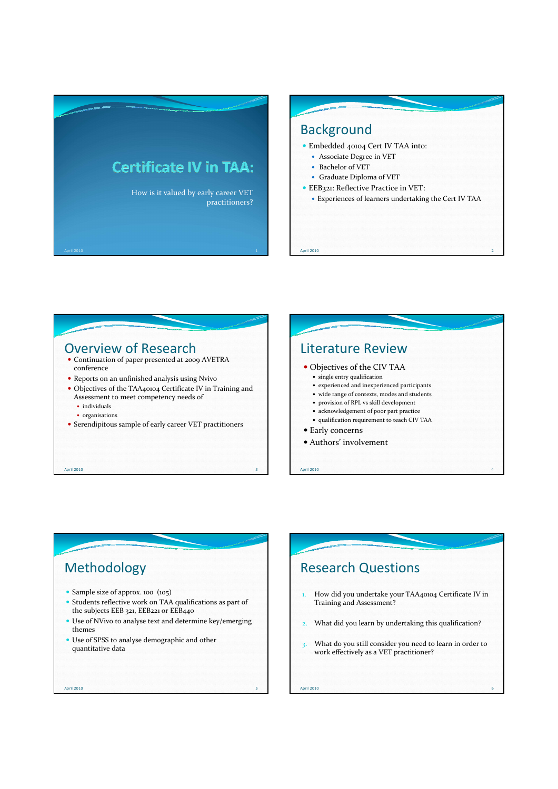





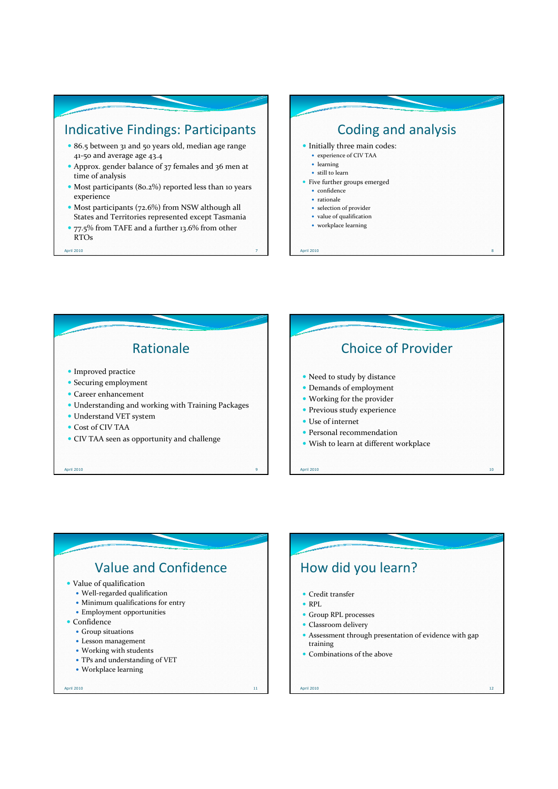## Indicative Findings: Participants

- 86.5 between 31 and 50 years old, median age range 41-50 and average age 43.4
- Approx. gender balance of 37 females and 36 men at time of analysis
- Most participants (80.2%) reported less than 10 years experience
- Most participants (72.6%) from NSW although all States and Territories represented except Tasmania
- 77.5% from TAFE and a further 13.6% from other RTOs

April 2010 7